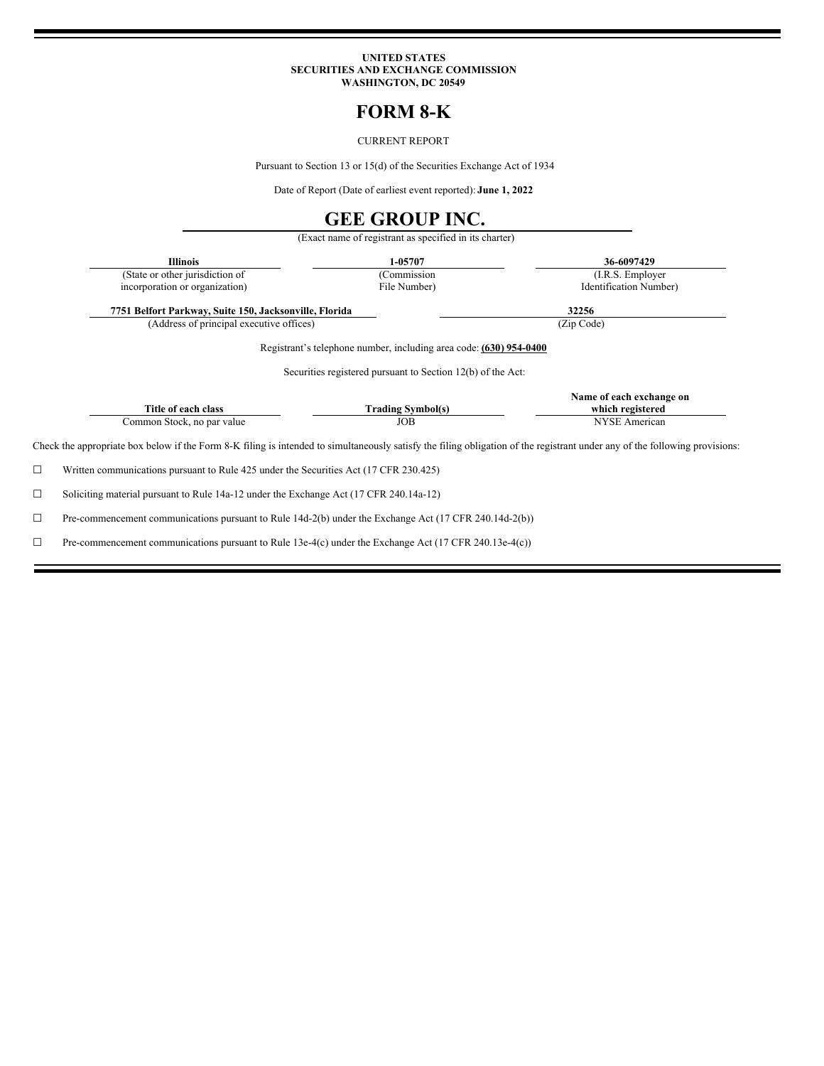#### **UNITED STATES SECURITIES AND EXCHANGE COMMISSION WASHINGTON, DC 20549**

# **FORM 8-K**

CURRENT REPORT

Pursuant to Section 13 or 15(d) of the Securities Exchange Act of 1934

Date of Report (Date of earliest event reported): **June 1, 2022**

## **GEE GROUP INC.**

(Exact name of registrant as specified in its charter) **Illinois 1-05707 36-6097429** (State or other jurisdiction of incorporation or organization) (Commission File Number) (I.R.S. Employer Identification Number) **7751 Belfort Parkway, Suite 150, Jacksonville, Florida 32256** (Address of principal executive offices) (Zip Code) Registrant's telephone number, including area code: **(630) 954-0400** Securities registered pursuant to Section 12(b) of the Act: **Title of each class Trading Symbol(s) Name of each exchange on which registered** Common Stock, no par value JOB JOB NYSE American Check the appropriate box below if the Form 8-K filing is intended to simultaneously satisfy the filing obligation of the registrant under any of the following provisions: ☐ Written communications pursuant to Rule 425 under the Securities Act (17 CFR 230.425) ☐ Soliciting material pursuant to Rule 14a-12 under the Exchange Act (17 CFR 240.14a-12)

☐ Pre-commencement communications pursuant to Rule 14d-2(b) under the Exchange Act (17 CFR 240.14d-2(b))

☐ Pre-commencement communications pursuant to Rule 13e-4(c) under the Exchange Act (17 CFR 240.13e-4(c))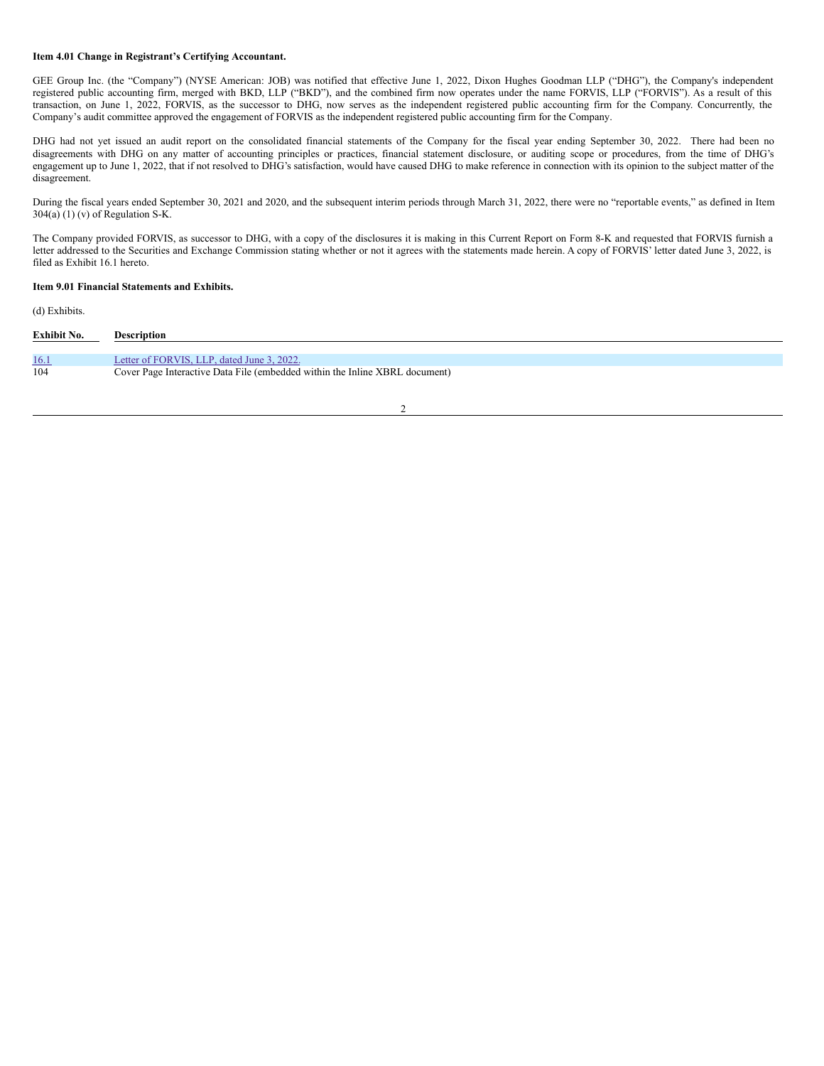#### **Item 4.01 Change in Registrant's Certifying Accountant.**

GEE Group Inc. (the "Company") (NYSE American: JOB) was notified that effective June 1, 2022, Dixon Hughes Goodman LLP ("DHG"), the Company's independent registered public accounting firm, merged with BKD, LLP ("BKD"), and the combined firm now operates under the name FORVIS, LLP ("FORVIS"). As a result of this transaction, on June 1, 2022, FORVIS, as the successor to DHG, now serves as the independent registered public accounting firm for the Company. Concurrently, the Company's audit committee approved the engagement of FORVIS as the independent registered public accounting firm for the Company.

DHG had not yet issued an audit report on the consolidated financial statements of the Company for the fiscal year ending September 30, 2022. There had been no disagreements with DHG on any matter of accounting principles or practices, financial statement disclosure, or auditing scope or procedures, from the time of DHG's engagement up to June 1, 2022, that if not resolved to DHG's satisfaction, would have caused DHG to make reference in connection with its opinion to the subject matter of the disagreement.

During the fiscal years ended September 30, 2021 and 2020, and the subsequent interim periods through March 31, 2022, there were no "reportable events," as defined in Item  $304(a)$  (1) (v) of Regulation S-K.

The Company provided FORVIS, as successor to DHG, with a copy of the disclosures it is making in this Current Report on Form 8-K and requested that FORVIS furnish a letter addressed to the Securities and Exchange Commission stating whether or not it agrees with the statements made herein. A copy of FORVIS' letter dated June 3, 2022, is filed as Exhibit 16.1 hereto.

#### **Item 9.01 Financial Statements and Exhibits.**

#### (d) Exhibits.

| <b>Exhibit No.</b> | <b>Description</b>                                                          |
|--------------------|-----------------------------------------------------------------------------|
| <u>16.1</u>        | Letter of FORVIS, LLP, dated June 3, 2022.                                  |
| 104                | Cover Page Interactive Data File (embedded within the Inline XBRL document) |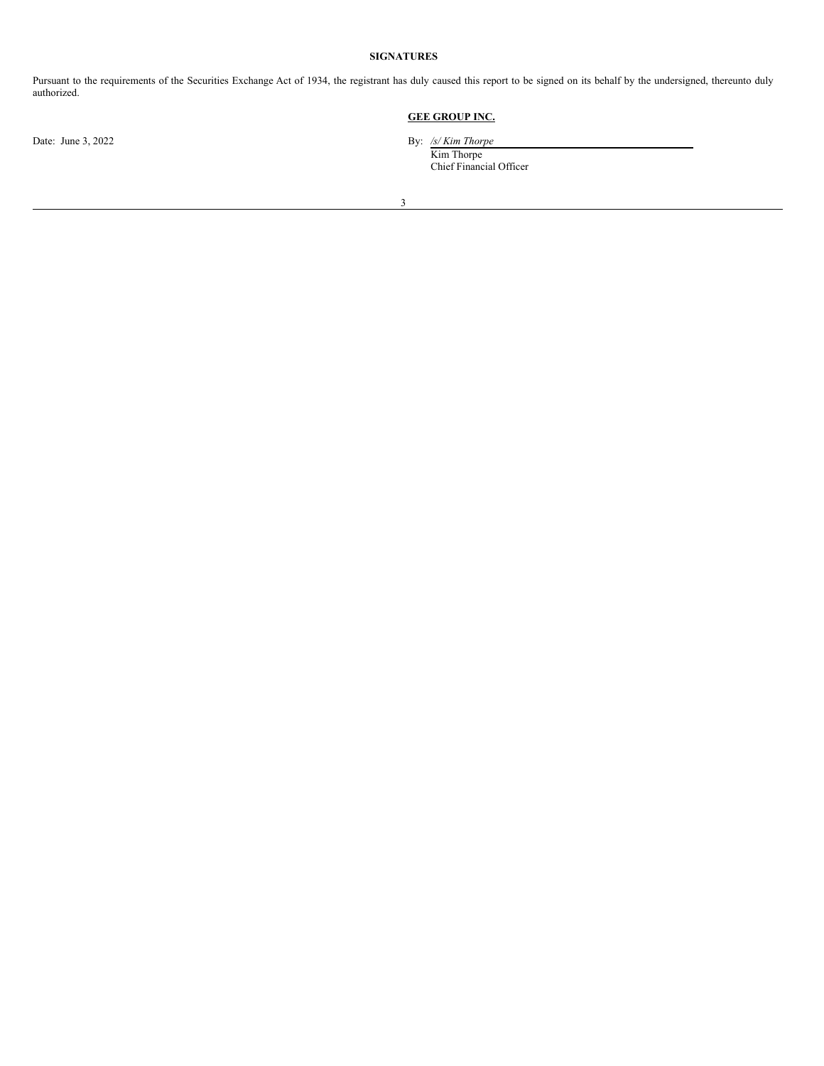#### **SIGNATURES**

Pursuant to the requirements of the Securities Exchange Act of 1934, the registrant has duly caused this report to be signed on its behalf by the undersigned, thereunto duly authorized.

## **GEE GROUP INC.**

Date: June 3, 2022 By: */s/ Kim Thorpe*

Kim Thorpe Chief Financial Officer